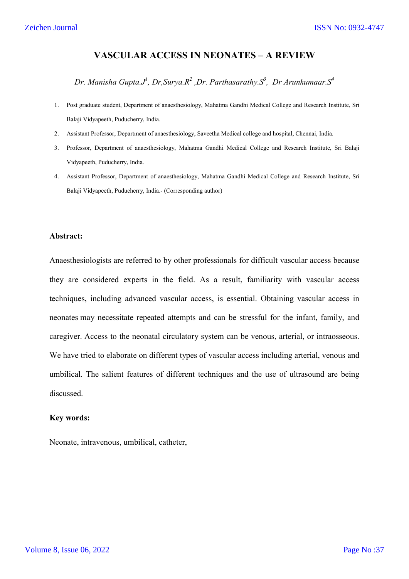# **VASCULAR ACCESS IN NEONATES – A REVIEW**

*Dr. Manisha Gupta.J1 , Dr,Surya.R2 ,Dr. Parthasarathy.S3 , Dr Arunkumaar.S<sup>4</sup>*

- 1. Post graduate student, Department of anaesthesiology, Mahatma Gandhi Medical College and Research Institute, Sri Balaji Vidyapeeth, Puducherry, India.
- 2. Assistant Professor, Department of anaesthesiology, Saveetha Medical college and hospital, Chennai, India.
- 3. Professor, Department of anaesthesiology, Mahatma Gandhi Medical College and Research Institute, Sri Balaji Vidyapeeth, Puducherry, India.
- 4. Assistant Professor, Department of anaesthesiology, Mahatma Gandhi Medical College and Research Institute, Sri Balaji Vidyapeeth, Puducherry, India.- (Corresponding author)

### **Abstract:**

Anaesthesiologists are referred to by other professionals for difficult vascular access because they are considered experts in the field. As a result, familiarity with vascular access techniques, including advanced vascular access, is essential. Obtaining vascular access in neonates may necessitate repeated attempts and can be stressful for the infant, family, and caregiver. Access to the neonatal circulatory system can be venous, arterial, or intraosseous. We have tried to elaborate on different types of vascular access including arterial, venous and umbilical. The salient features of different techniques and the use of ultrasound are being discussed.

### **Key words:**

Neonate, intravenous, umbilical, catheter,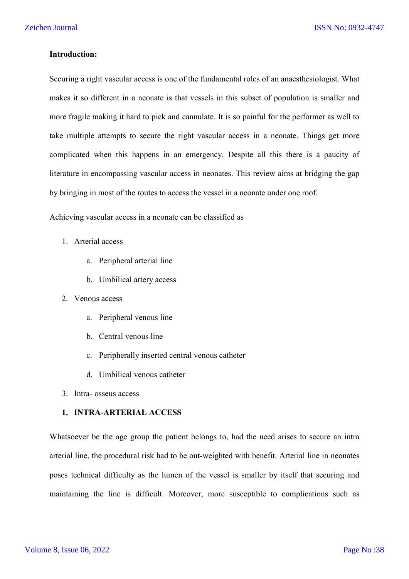### **Introduction:**

Securing a right vascular access is one of the fundamental roles of an anaesthesiologist. What makes it so different in a neonate is that vessels in this subset of population is smaller and more fragile making it hard to pick and cannulate. It is so painful for the performer as well to take multiple attempts to secure the right vascular access in a neonate. Things get more complicated when this happens in an emergency. Despite all this there is a paucity of literature in encompassing vascular access in neonates. This review aims at bridging the gap by bringing in most of the routes to access the vessel in a neonate under one roof.

Achieving vascular access in a neonate can be classified as

#### 1. Arterial access

- a. Peripheral arterial line
- b. Umbilical artery access
- 2. Venous access
	- a. Peripheral venous line
	- b. Central venous line
	- c. Peripherally inserted central venous catheter
	- d. Umbilical venous catheter
- 3. Intra- osseus access

# **1. INTRA-ARTERIAL ACCESS**

Whatsoever be the age group the patient belongs to, had the need arises to secure an intra arterial line, the procedural risk had to be out-weighted with benefit. Arterial line in neonates poses technical difficulty as the lumen of the vessel is smaller by itself that securing and maintaining the line is difficult. Moreover, more susceptible to complications such as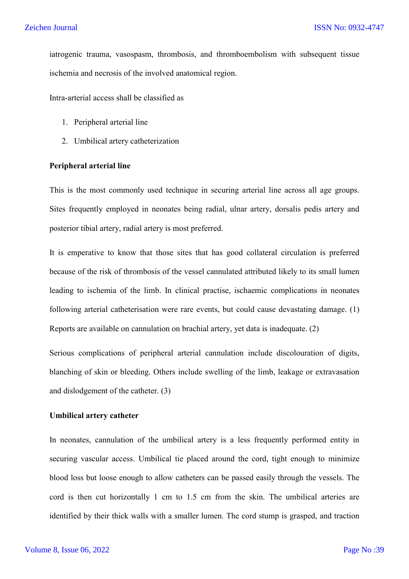iatrogenic trauma, vasospasm, thrombosis, and thromboembolism with subsequent tissue ischemia and necrosis of the involved anatomical region.

Intra-arterial access shall be classified as

- 1. Peripheral arterial line
- 2. Umbilical artery catheterization

## **Peripheral arterial line**

This is the most commonly used technique in securing arterial line across all age groups. Sites frequently employed in neonates being radial, ulnar artery, dorsalis pedis artery and posterior tibial artery, radial artery is most preferred.

It is emperative to know that those sites that has good collateral circulation is preferred because of the risk of thrombosis of the vessel cannulated attributed likely to its small lumen leading to ischemia of the limb. In clinical practise, ischaemic complications in neonates following arterial catheterisation were rare events, but could cause devastating damage. (1) Reports are available on cannulation on brachial artery, yet data is inadequate. (2)

Serious complications of peripheral arterial cannulation include discolouration of digits, blanching of skin or bleeding. Others include swelling of the limb, leakage or extravasation and dislodgement of the catheter. (3)

# **Umbilical artery catheter**

In neonates, cannulation of the umbilical artery is a less frequently performed entity in securing vascular access. Umbilical tie placed around the cord, tight enough to minimize blood loss but loose enough to allow catheters can be passed easily through the vessels. The cord is then cut horizontally 1 cm to 1.5 cm from the skin. The umbilical arteries are identified by their thick walls with a smaller lumen. The cord stump is grasped, and traction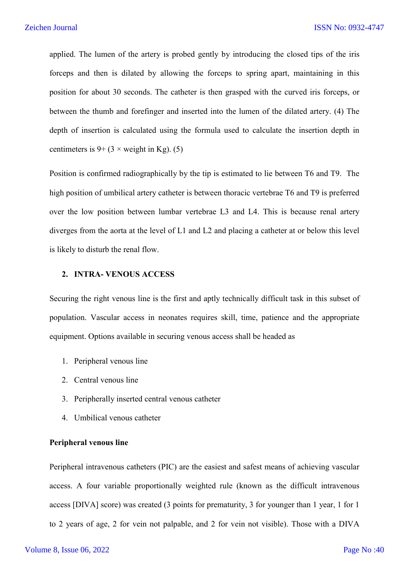applied. The lumen of the artery is probed gently by introducing the closed tips of the iris forceps and then is dilated by allowing the forceps to spring apart, maintaining in this position for about 30 seconds. The catheter is then grasped with the curved iris forceps, or between the thumb and forefinger and inserted into the lumen of the dilated artery. (4) The depth of insertion is calculated using the formula used to calculate the insertion depth in centimeters is  $9 + (3 \times \text{weight in Kg})$ . (5)

Position is confirmed radiographically by the tip is estimated to lie between T6 and T9. The high position of umbilical artery catheter is between thoracic vertebrae T6 and T9 is preferred over the low position between lumbar vertebrae L3 and L4. This is because renal artery diverges from the aorta at the level of L1 and L2 and placing a catheter at or below this level is likely to disturb the renal flow.

#### **2. INTRA- VENOUS ACCESS**

Securing the right venous line is the first and aptly technically difficult task in this subset of population. Vascular access in neonates requires skill, time, patience and the appropriate equipment. Options available in securing venous access shall be headed as

- 1. Peripheral venous line
- 2. Central venous line
- 3. Peripherally inserted central venous catheter
- 4. Umbilical venous catheter

#### **Peripheral venous line**

Peripheral intravenous catheters (PIC) are the easiest and safest means of achieving vascular access. A four variable proportionally weighted rule (known as the difficult intravenous access [DIVA] score) was created (3 points for prematurity, 3 for younger than 1 year, 1 for 1 to 2 years of age, 2 for vein not palpable, and 2 for vein not visible). Those with a DIVA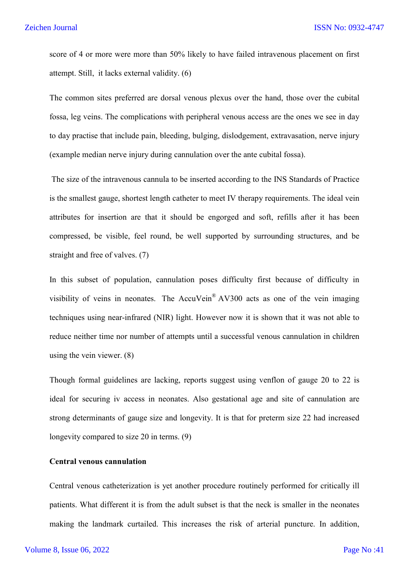score of 4 or more were more than 50% likely to have failed intravenous placement on first attempt. Still, it lacks external validity. (6)

The common sites preferred are dorsal venous plexus over the hand, those over the cubital fossa, leg veins. The complications with peripheral venous access are the ones we see in day to day practise that include pain, bleeding, bulging, dislodgement, extravasation, nerve injury (example median nerve injury during cannulation over the ante cubital fossa).

The size of the intravenous cannula to be inserted according to the INS Standards of Practice is the smallest gauge, shortest length catheter to meet IV therapy requirements. The ideal vein attributes for insertion are that it should be engorged and soft, refills after it has been compressed, be visible, feel round, be well supported by surrounding structures, and be straight and free of valves. (7)

In this subset of population, cannulation poses difficulty first because of difficulty in visibility of veins in neonates. The AccuVein® AV300 acts as one of the vein imaging techniques using near-infrared (NIR) light. However now it is shown that it was not able to reduce neither time nor number of attempts until a successful venous cannulation in children using the vein viewer. (8)

Though formal guidelines are lacking, reports suggest using venflon of gauge 20 to 22 is ideal for securing iv access in neonates. Also gestational age and site of cannulation are strong determinants of gauge size and longevity. It is that for preterm size 22 had increased longevity compared to size 20 in terms. (9)

#### **Central venous cannulation**

Central venous catheterization is yet another procedure routinely performed for critically ill patients. What different it is from the adult subset is that the neck is smaller in the neonates making the landmark curtailed. This increases the risk of arterial puncture. In addition,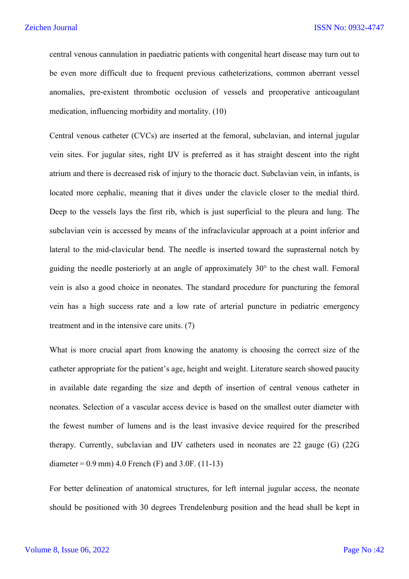central venous cannulation in paediatric patients with congenital heart disease may turn out to be even more difficult due to frequent previous catheterizations, common aberrant vessel anomalies, pre-existent thrombotic occlusion of vessels and preoperative anticoagulant medication, influencing morbidity and mortality. (10)

Central venous catheter (CVCs) are inserted at the femoral, subclavian, and internal jugular vein sites. For jugular sites, right IJV is preferred as it has straight descent into the right atrium and there is decreased risk of injury to the thoracic duct. Subclavian vein, in infants, is located more cephalic, meaning that it dives under the clavicle closer to the medial third. Deep to the vessels lays the first rib, which is just superficial to the pleura and lung. The subclavian vein is accessed by means of the infraclavicular approach at a point inferior and lateral to the mid-clavicular bend. The needle is inserted toward the suprasternal notch by guiding the needle posteriorly at an angle of approximately 30° to the chest wall. Femoral vein is also a good choice in neonates. The standard procedure for puncturing the femoral vein has a high success rate and a low rate of arterial puncture in pediatric emergency treatment and in the intensive care units. (7)

What is more crucial apart from knowing the anatomy is choosing the correct size of the catheter appropriate for the patient's age, height and weight. Literature search showed paucity in available date regarding the size and depth of insertion of central venous catheter in neonates. Selection of a vascular access device is based on the smallest outer diameter with the fewest number of lumens and is the least invasive device required for the prescribed therapy. Currently, subclavian and IJV catheters used in neonates are 22 gauge (G) (22G diameter =  $0.9$  mm) 4.0 French (F) and 3.0F. (11-13)

For better delineation of anatomical structures, for left internal jugular access, the neonate should be positioned with 30 degrees Trendelenburg position and the head shall be kept in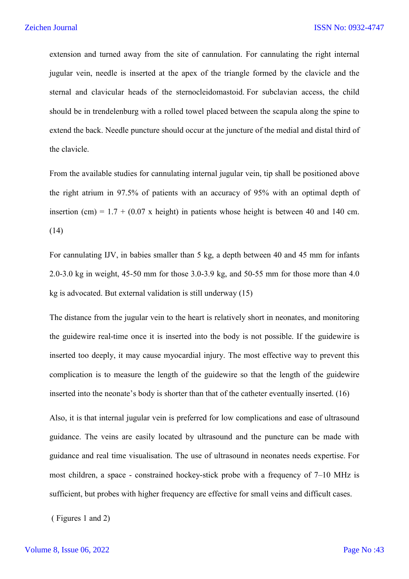extension and turned away from the site of cannulation. For cannulating the right internal jugular vein, needle is inserted at the apex of the triangle formed by the clavicle and the sternal and clavicular heads of the sternocleidomastoid. For subclavian access, the child should be in trendelenburg with a rolled towel placed between the scapula along the spine to extend the back. Needle puncture should occur at the juncture of the medial and distal third of the clavicle.

From the available studies for cannulating internal jugular vein, tip shall be positioned above the right atrium in 97.5% of patients with an accuracy of 95% with an optimal depth of insertion (cm) =  $1.7 + (0.07 \text{ x height})$  in patients whose height is between 40 and 140 cm. (14)

For cannulating IJV, in babies smaller than 5 kg, a depth between 40 and 45 mm for infants 2.0-3.0 kg in weight, 45-50 mm for those 3.0-3.9 kg, and 50-55 mm for those more than 4.0 kg is advocated. But external validation is still underway (15)

The distance from the jugular vein to the heart is relatively short in neonates, and monitoring the guidewire real-time once it is inserted into the body is not possible. If the guidewire is inserted too deeply, it may cause myocardial injury. The most effective way to prevent this complication is to measure the length of the guidewire so that the length of the guidewire inserted into the neonate's body is shorter than that of the catheter eventually inserted. (16)

Also, it is that internal jugular vein is preferred for low complications and ease of ultrasound guidance. The veins are easily located by ultrasound and the puncture can be made with guidance and real time visualisation. The use of ultrasound in neonates needs expertise. For most children, a space - constrained hockey-stick probe with a frequency of 7–10 MHz is sufficient, but probes with higher frequency are effective for small veins and difficult cases.

( Figures 1 and 2)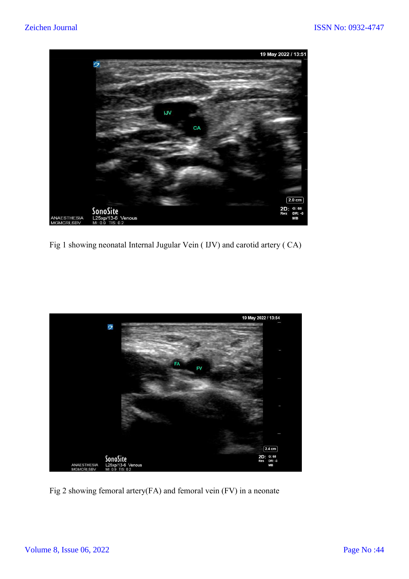

Fig 1 showing neonatal Internal Jugular Vein ( IJV) and carotid artery ( CA)



Fig 2 showing femoral artery(FA) and femoral vein (FV) in a neonate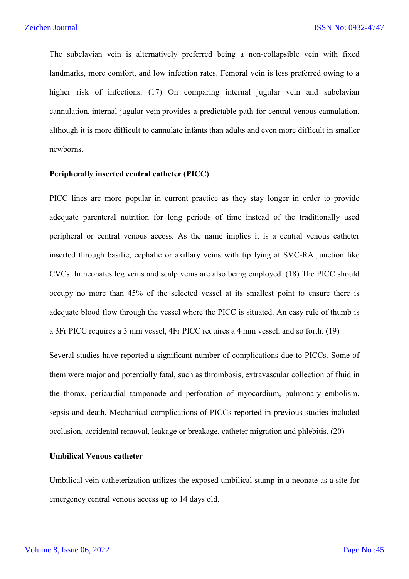The subclavian vein is alternatively preferred being a non-collapsible vein with fixed landmarks, more comfort, and low infection rates. Femoral vein is less preferred owing to a higher risk of infections. (17) On comparing internal jugular vein and subclavian cannulation, internal jugular vein provides a predictable path for central venous cannulation, although it is more difficult to cannulate infants than adults and even more difficult in smaller newborns.

### **Peripherally inserted central catheter (PICC)**

PICC lines are more popular in current practice as they stay longer in order to provide adequate parenteral nutrition for long periods of time instead of the traditionally used peripheral or central venous access. As the name implies it is a central venous catheter inserted through basilic, cephalic or axillary veins with tip lying at SVC-RA junction like CVCs. In neonates leg veins and scalp veins are also being employed. (18) The PICC should occupy no more than 45% of the selected vessel at its smallest point to ensure there is adequate blood flow through the vessel where the PICC is situated. An easy rule of thumb is a 3Fr PICC requires a 3 mm vessel, 4Fr PICC requires a 4 mm vessel, and so forth. (19)

Several studies have reported a significant number of complications due to PICCs. Some of them were major and potentially fatal, such as thrombosis, extravascular collection of fluid in the thorax, pericardial tamponade and perforation of myocardium, pulmonary embolism, sepsis and death. Mechanical complications of PICCs reported in previous studies included occlusion, accidental removal, leakage or breakage, catheter migration and phlebitis. (20)

# **Umbilical Venous catheter**

Umbilical vein catheterization utilizes the exposed umbilical stump in a neonate as a site for emergency central venous access up to 14 days old.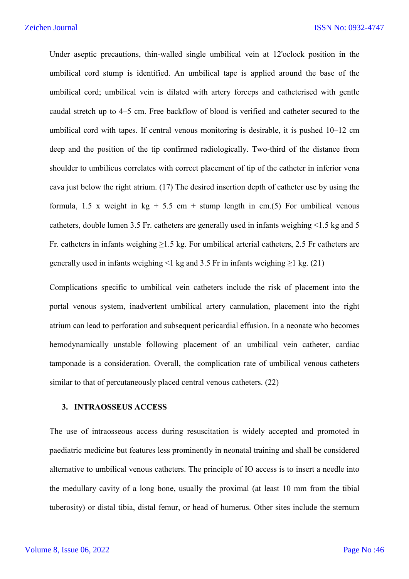Under aseptic precautions, thin-walled single umbilical vein at 12'oclock position in the umbilical cord stump is identified. An umbilical tape is applied around the base of the umbilical cord; umbilical vein is dilated with artery forceps and catheterised with gentle caudal stretch up to 4–5 cm. Free backflow of blood is verified and catheter secured to the umbilical cord with tapes. If central venous monitoring is desirable, it is pushed 10–12 cm deep and the position of the tip confirmed radiologically. Two-third of the distance from shoulder to umbilicus correlates with correct placement of tip of the catheter in inferior vena cava just below the right atrium. (17) The desired insertion depth of catheter use by using the formula, 1.5 x weight in  $kg + 5.5$  cm + stump length in cm.(5) For umbilical venous catheters, double lumen 3.5 Fr. catheters are generally used in infants weighing  $\leq 1.5$  kg and 5 Fr. catheters in infants weighing ≥1.5 kg. For umbilical arterial catheters, 2.5 Fr catheters are generally used in infants weighing <1 kg and 3.5 Fr in infants weighing  $\geq$ 1 kg. (21)

Complications specific to umbilical vein catheters include the risk of placement into the portal venous system, inadvertent umbilical artery cannulation, placement into the right atrium can lead to perforation and subsequent pericardial effusion. In a neonate who becomes hemodynamically unstable following placement of an umbilical vein catheter, cardiac tamponade is a consideration. Overall, the complication rate of umbilical venous catheters similar to that of percutaneously placed central venous catheters. (22)

#### **3. INTRAOSSEUS ACCESS**

The use of intraosseous access during resuscitation is widely accepted and promoted in paediatric medicine but features less prominently in neonatal training and shall be considered alternative to umbilical venous catheters. The principle of IO access is to insert a needle into the medullary cavity of a long bone, usually the proximal (at least 10 mm from the tibial tuberosity) or distal tibia, distal femur, or head of humerus. Other sites include the sternum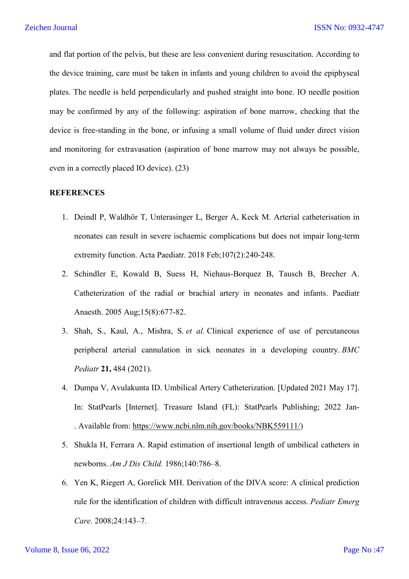and flat portion of the pelvis, but these are less convenient during resuscitation. According to the device training, care must be taken in infants and young children to avoid the epiphyseal plates. The needle is held perpendicularly and pushed straight into bone. IO needle position may be confirmed by any of the following: aspiration of bone marrow, checking that the device is free-standing in the bone, or infusing a small volume of fluid under direct vision and monitoring for extravasation (aspiration of bone marrow may not always be possible, even in a correctly placed IO device). (23)

# **REFERENCES**

- 1. Deindl P, Waldhör T, Unterasinger L, Berger A, Keck M. Arterial catheterisation in neonates can result in severe ischaemic complications but does not impair long-term extremity function. Acta Paediatr. 2018 Feb;107(2):240-248.
- 2. Schindler E, Kowald B, Suess H, Niehaus-Borquez B, Tausch B, Brecher A. Catheterization of the radial or brachial artery in neonates and infants. Paediatr Anaesth. 2005 Aug;15(8):677-82.
- 3. Shah, S., Kaul, A., Mishra, S. *et al.* Clinical experience of use of percutaneous peripheral arterial cannulation in sick neonates in a developing country. *BMC Pediatr* **21,** 484 (2021).
- 4. Dumpa V, Avulakunta ID. Umbilical Artery Catheterization. [Updated 2021 May 17]. In: StatPearls [Internet]. Treasure Island (FL): StatPearls Publishing; 2022 Jan- . Available from: https://www.ncbi.nlm.nih.gov/books/NBK559111/)
- 5. Shukla H, Ferrara A. Rapid estimation of insertional length of umbilical catheters in newborns. *Am J Dis Child.* 1986;140:786–8.
- 6. Yen K, Riegert A, Gorelick MH. Derivation of the DIVA score: A clinical prediction rule for the identification of children with difficult intravenous access. *Pediatr Emerg Care.* 2008;24:143–7.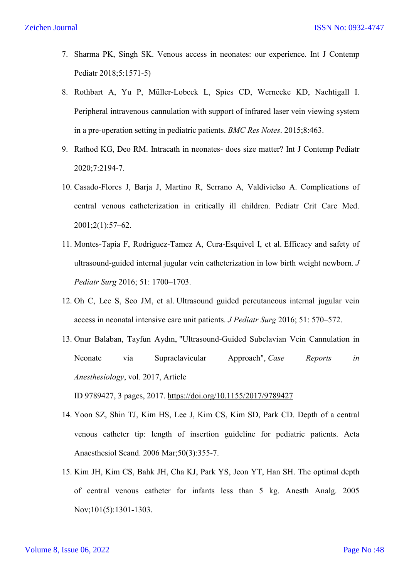- 7. Sharma PK, Singh SK. Venous access in neonates: our experience. Int J Contemp Pediatr 2018;5:1571-5)
- 8. Rothbart A, Yu P, Müller-Lobeck L, Spies CD, Wernecke KD, Nachtigall I. Peripheral intravenous cannulation with support of infrared laser vein viewing system in a pre-operation setting in pediatric patients. *BMC Res Notes*. 2015;8:463.
- 9. Rathod KG, Deo RM. Intracath in neonates- does size matter? Int J Contemp Pediatr 2020;7:2194-7.
- 10. Casado-Flores J, Barja J, Martino R, Serrano A, Valdivielso A. Complications of central venous catheterization in critically ill children. Pediatr Crit Care Med. 2001;2(1):57–62.
- 11. Montes-Tapia F, Rodriguez-Tamez A, Cura-Esquivel I, et al. Efficacy and safety of ultrasound-guided internal jugular vein catheterization in low birth weight newborn. *J Pediatr Surg* 2016; 51: 1700–1703.
- 12. Oh C, Lee S, Seo JM, et al. Ultrasound guided percutaneous internal jugular vein access in neonatal intensive care unit patients. *J Pediatr Surg* 2016; 51: 570–572.
- 13. Onur Balaban, Tayfun Aydın, "Ultrasound-Guided Subclavian Vein Cannulation in Neonate via Supraclavicular Approach", *Case Reports in Anesthesiology*, vol. 2017, Article

ID 9789427, 3 pages, 2017. https://doi.org/10.1155/2017/9789427

- 14. Yoon SZ, Shin TJ, Kim HS, Lee J, Kim CS, Kim SD, Park CD. Depth of a central venous catheter tip: length of insertion guideline for pediatric patients. Acta Anaesthesiol Scand. 2006 Mar;50(3):355-7.
- 15. Kim JH, Kim CS, Bahk JH, Cha KJ, Park YS, Jeon YT, Han SH. The optimal depth of central venous catheter for infants less than 5 kg. Anesth Analg. 2005 Nov;101(5):1301-1303.